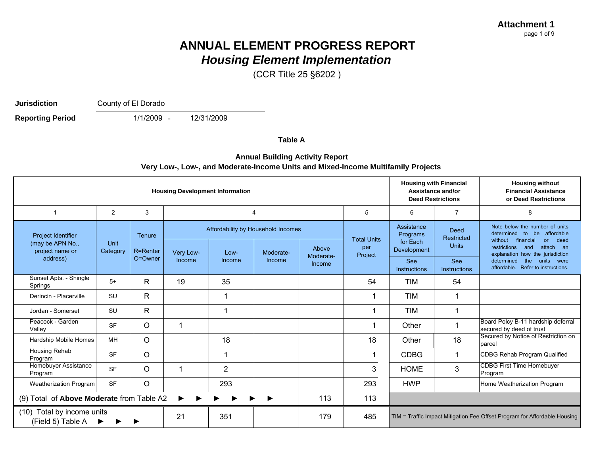(CCR Title 25 §6202 )

**Jurisdiction**

County of El Dorado

1/1/2009 -12/31/2009**Reporting Period** 

**Table A**

#### **Annual Building Activity Report Very Low-, Low-, and Moderate-Income Units and Mixed-Income Multifamily Projects**

| <b>Housing Development Information</b>                    |                  |                                  |           |                                              |                |                    |                                      |                                                   | <b>Housing with Financial</b><br>Assistance and/or<br><b>Deed Restrictions</b> | <b>Housing without</b><br><b>Financial Assistance</b><br>or Deed Restrictions                                                                                                               |
|-----------------------------------------------------------|------------------|----------------------------------|-----------|----------------------------------------------|----------------|--------------------|--------------------------------------|---------------------------------------------------|--------------------------------------------------------------------------------|---------------------------------------------------------------------------------------------------------------------------------------------------------------------------------------------|
|                                                           | 2                | 3                                |           |                                              | $\overline{4}$ |                    | 5                                    | 6                                                 | $\overline{7}$                                                                 | 8                                                                                                                                                                                           |
| Project Identifier<br>(may be APN No.,<br>project name or | Unit<br>Category | <b>Tenure</b><br><b>R=Renter</b> | Very Low- | Affordability by Household Incomes<br>$Low-$ | Moderate-      | Above<br>Moderate- | <b>Total Units</b><br>per<br>Project | Assistance<br>Programs<br>for Each<br>Development | <b>Deed</b><br>Restricted<br><b>Units</b>                                      | Note below the number of units<br>determined<br>affordable<br>to<br>be<br>without<br>financial<br>deed<br><b>or</b><br>restrictions<br>attach an<br>and<br>explanation how the jurisdiction |
| address)                                                  |                  | O=Owner                          | Income    | Income                                       | Income         | Income             |                                      | <b>See</b><br>Instructions                        | See<br><b>Instructions</b>                                                     | determined<br>units were<br>the<br>affordable. Refer to instructions.                                                                                                                       |
| Sunset Apts. - Shingle<br>Springs                         | $5+$             | R.                               | 19        | 35                                           |                |                    | 54                                   | TIM                                               | 54                                                                             |                                                                                                                                                                                             |
| Derincin - Placerville                                    | <b>SU</b>        | R                                |           |                                              |                |                    |                                      | TIM                                               |                                                                                |                                                                                                                                                                                             |
| Jordan - Somerset                                         | <b>SU</b>        | $\mathsf{R}$                     |           | -1                                           |                |                    |                                      | <b>TIM</b>                                        | $\mathbf 1$                                                                    |                                                                                                                                                                                             |
| Peacock - Garden<br>Valley                                | <b>SF</b>        | $\circ$                          | 1         |                                              |                |                    |                                      | Other                                             | 1                                                                              | Board Polcy B-11 hardship deferral<br>secured by deed of trust                                                                                                                              |
| Hardship Mobile Homes                                     | <b>MH</b>        | $\circ$                          |           | 18                                           |                |                    | 18                                   | Other                                             | 18                                                                             | Secured by Notice of Restriction on<br>parcel                                                                                                                                               |
| <b>Housing Rehab</b><br>Program                           | <b>SF</b>        | $\circ$                          |           |                                              |                |                    |                                      | <b>CDBG</b>                                       | $\mathbf 1$                                                                    | CDBG Rehab Program Qualified                                                                                                                                                                |
| Homebuyer Assistance<br>Program                           | <b>SF</b>        | $\circ$                          | 1         | $\overline{2}$                               |                |                    | 3                                    | <b>HOME</b>                                       | 3                                                                              | <b>CDBG First Time Homebuyer</b><br>Program                                                                                                                                                 |
| Weatherization Program                                    | <b>SF</b>        | O                                |           | 293                                          |                |                    | 293                                  | <b>HWP</b>                                        |                                                                                | Home Weatherization Program                                                                                                                                                                 |
| (9) Total of Above Moderate from Table A2                 |                  |                                  |           |                                              |                | 113                | 113                                  |                                                   |                                                                                |                                                                                                                                                                                             |
| Total by income units<br>(10)<br>(Field 5) Table A        |                  |                                  | 21        | 351                                          |                | 179                | 485                                  |                                                   |                                                                                | TIM = Traffic Impact Mitigation Fee Offset Program for Affordable Housing                                                                                                                   |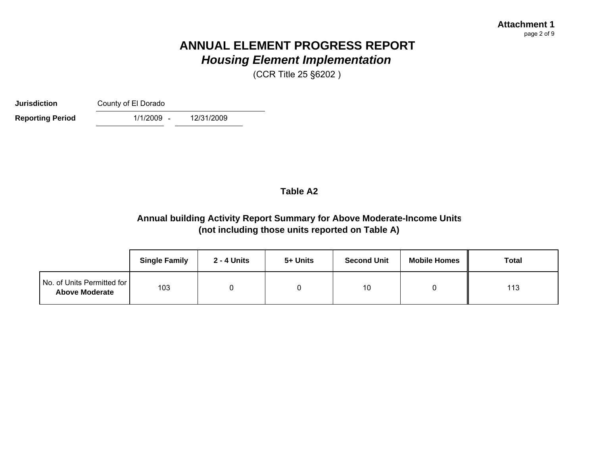(CCR Title 25 §6202 )

**Jurisdiction**County of El Dorado

**Reporting Period** 

1/1/2009 -12/31/2009

### **Table A2**

### **Annual building Activity Report Summary for Above Moderate-Income Units (not including those units reported on Table A)**

|                                                     | <b>Single Family</b> | 2 - 4 Units | 5+ Units | <b>Second Unit</b> | <b>Mobile Homes</b> | Total |
|-----------------------------------------------------|----------------------|-------------|----------|--------------------|---------------------|-------|
| No. of Units Permitted for<br><b>Above Moderate</b> | 103                  |             |          | 10                 |                     | 113   |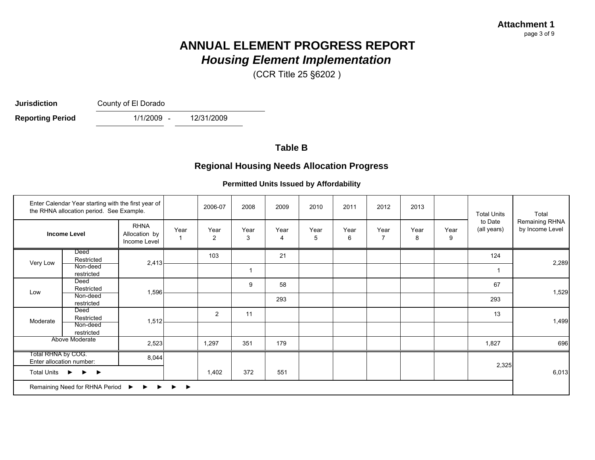(CCR Title 25 §6202 )

**Jurisdiction**

County of El Dorado

12/31/2009

1/1/2009 -**Reporting Period** 

### **Table B**

### **Regional Housing Needs Allocation Progress**

#### **Permitted Units Issued by Affordability**

| Enter Calendar Year starting with the first year of<br>the RHNA allocation period. See Example.<br><b>RHNA</b><br><b>Income Level</b><br>Allocation by<br>Income Level |                                           |       | 2006-07 | 2008           | 2009         | 2010                   | 2011      | 2012      | 2013      |           | <b>Total Units</b> | Total                  |                                   |
|------------------------------------------------------------------------------------------------------------------------------------------------------------------------|-------------------------------------------|-------|---------|----------------|--------------|------------------------|-----------|-----------|-----------|-----------|--------------------|------------------------|-----------------------------------|
|                                                                                                                                                                        |                                           |       | Year    | Year<br>2      | Year<br>3    | Year<br>$\overline{4}$ | Year<br>5 | Year<br>6 | Year<br>7 | Year<br>8 | Year<br>9          | to Date<br>(all years) | Remaining RHNA<br>by Income Level |
| Very Low                                                                                                                                                               | Deed<br>Restricted                        | 2,413 |         | 103            |              | 21                     |           |           |           |           |                    | 124                    |                                   |
|                                                                                                                                                                        | Non-deed<br>restricted                    |       |         |                | $\mathbf{1}$ |                        |           |           |           |           |                    | $\mathbf 1$            | 2,289                             |
| Low                                                                                                                                                                    | Deed<br>Restricted                        | 1,596 |         |                | 9            | 58                     |           |           |           |           |                    | 67                     | 1,529                             |
|                                                                                                                                                                        | Non-deed<br>restricted                    |       |         |                |              | 293                    |           |           |           |           |                    | 293                    |                                   |
|                                                                                                                                                                        | Deed<br>Restricted                        | 1,512 |         | $\overline{2}$ | 11           |                        |           |           |           |           |                    | 13                     |                                   |
| Moderate                                                                                                                                                               | Non-deed<br>restricted                    |       |         |                |              |                        |           |           |           |           |                    |                        | 1,499                             |
|                                                                                                                                                                        | Above Moderate                            | 2,523 |         | 1,297          | 351          | 179                    |           |           |           |           |                    | 1,827                  | 696                               |
| Total RHNA by COG.                                                                                                                                                     | Enter allocation number:                  | 8,044 |         |                |              |                        |           |           |           |           |                    | 2,325                  |                                   |
| Total Units $\rightarrow$ $\rightarrow$ $\rightarrow$                                                                                                                  |                                           |       | 1,402   | 372            | 551          |                        |           |           |           |           |                    | 6,013                  |                                   |
|                                                                                                                                                                        | Remaining Need for RHNA Period ▶ ▶ ▶<br>▸ |       |         |                |              |                        |           |           |           |           |                    |                        |                                   |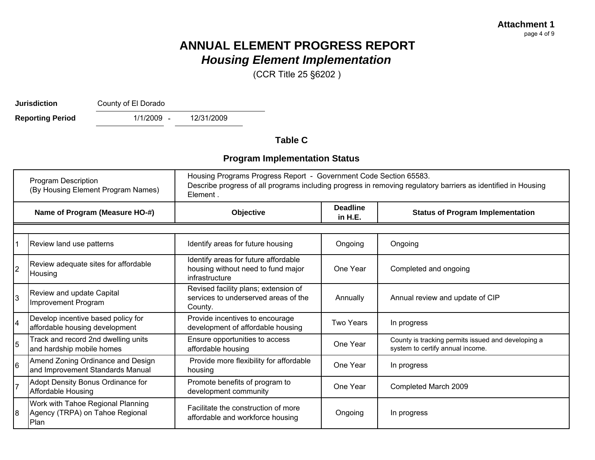(CCR Title 25 §6202 )

**Jurisdiction**

County of El Dorado

1/1/2009 - 12/31/2009 **Reporting Period** 

**Table C**

### **Program Implementation Status**

| <b>Program Description</b><br>(By Housing Element Program Names) |                                                                              | Housing Programs Progress Report - Government Code Section 65583.<br>Describe progress of all programs including progress in removing regulatory barriers as identified in Housing<br>Element. |                              |                                                                                        |  |  |
|------------------------------------------------------------------|------------------------------------------------------------------------------|------------------------------------------------------------------------------------------------------------------------------------------------------------------------------------------------|------------------------------|----------------------------------------------------------------------------------------|--|--|
|                                                                  | Name of Program (Measure HO-#)                                               | Objective                                                                                                                                                                                      | <b>Deadline</b><br>in $H.E.$ | <b>Status of Program Implementation</b>                                                |  |  |
|                                                                  |                                                                              |                                                                                                                                                                                                |                              |                                                                                        |  |  |
|                                                                  | Review land use patterns                                                     | Identify areas for future housing                                                                                                                                                              | Ongoing                      | Ongoing                                                                                |  |  |
| $\overline{2}$                                                   | Review adequate sites for affordable<br>Housing                              | Identify areas for future affordable<br>housing without need to fund major<br>infrastructure                                                                                                   | One Year                     | Completed and ongoing                                                                  |  |  |
| 3                                                                | Review and update Capital<br>Improvement Program                             | Revised facility plans; extension of<br>services to underserved areas of the<br>County.                                                                                                        | Annually                     | Annual review and update of CIP                                                        |  |  |
| 4                                                                | Develop incentive based policy for<br>affordable housing development         | Provide incentives to encourage<br>development of affordable housing                                                                                                                           | <b>Two Years</b>             | In progress                                                                            |  |  |
| 5                                                                | Track and record 2nd dwelling units<br>and hardship mobile homes             | Ensure opportunities to access<br>affordable housing                                                                                                                                           | One Year                     | County is tracking permits issued and developing a<br>system to certify annual income. |  |  |
| 6                                                                | Amend Zoning Ordinance and Design<br>and Improvement Standards Manual        | Provide more flexibility for affordable<br>housing                                                                                                                                             | One Year                     | In progress                                                                            |  |  |
| 17                                                               | Adopt Density Bonus Ordinance for<br>Affordable Housing                      | Promote benefits of program to<br>development community                                                                                                                                        | One Year                     | Completed March 2009                                                                   |  |  |
| 18                                                               | Work with Tahoe Regional Planning<br>Agency (TRPA) on Tahoe Regional<br>Plan | Facilitate the construction of more<br>affordable and workforce housing                                                                                                                        | Ongoing                      | In progress                                                                            |  |  |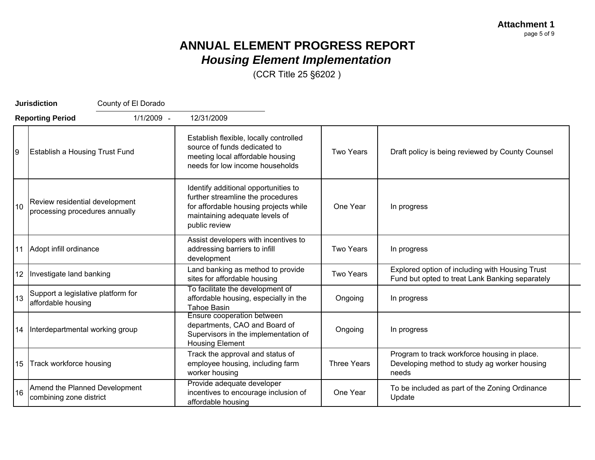**Attachment 1** page 5 of 9

## **ANNUAL ELEMENT PROGRESS REPORT** *Housing Element Implementation*

|    | <b>Jurisdiction</b><br>County of El Dorado                       |                                                                                                                                                                       |                    |                                                                                                       |
|----|------------------------------------------------------------------|-----------------------------------------------------------------------------------------------------------------------------------------------------------------------|--------------------|-------------------------------------------------------------------------------------------------------|
|    | 1/1/2009 -<br><b>Reporting Period</b>                            | 12/31/2009                                                                                                                                                            |                    |                                                                                                       |
| 9  | <b>Establish a Housing Trust Fund</b>                            | Establish flexible, locally controlled<br>source of funds dedicated to<br>meeting local affordable housing<br>needs for low income households                         | <b>Two Years</b>   | Draft policy is being reviewed by County Counsel                                                      |
| 10 | Review residential development<br>processing procedures annually | Identify additional opportunities to<br>further streamline the procedures<br>for affordable housing projects while<br>maintaining adequate levels of<br>public review | One Year           | In progress                                                                                           |
|    | 11 Adopt infill ordinance                                        | Assist developers with incentives to<br>addressing barriers to infill<br>development                                                                                  | <b>Two Years</b>   | In progress                                                                                           |
|    | 12   Investigate land banking                                    | Land banking as method to provide<br>sites for affordable housing                                                                                                     | <b>Two Years</b>   | Explored option of including with Housing Trust<br>Fund but opted to treat Lank Banking separately    |
| 13 | Support a legislative platform for<br>affordable housing         | To facilitate the development of<br>affordable housing, especially in the<br><b>Tahoe Basin</b>                                                                       | Ongoing            | In progress                                                                                           |
|    | 14   Interdepartmental working group                             | Ensure cooperation between<br>departments, CAO and Board of<br>Supervisors in the implementation of<br><b>Housing Element</b>                                         | Ongoing            | In progress                                                                                           |
|    | 15 Track workforce housing                                       | Track the approval and status of<br>employee housing, including farm<br>worker housing                                                                                | <b>Three Years</b> | Program to track workforce housing in place.<br>Developing method to study ag worker housing<br>needs |
| 16 | Amend the Planned Development<br>combining zone district         | Provide adequate developer<br>incentives to encourage inclusion of<br>affordable housing                                                                              | One Year           | To be included as part of the Zoning Ordinance<br>Update                                              |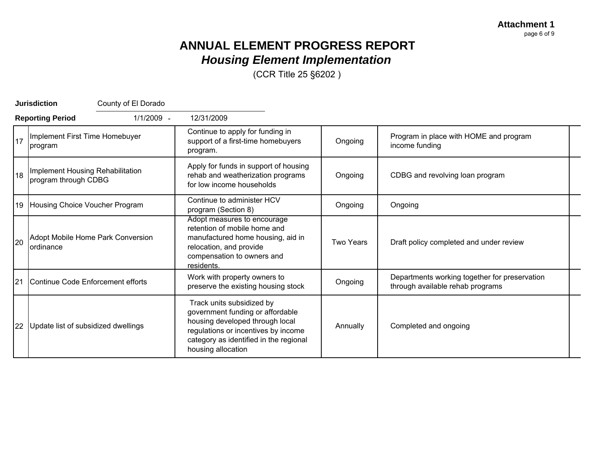**Attachment 1** page 6 of 9

### **ANNUAL ELEMENT PROGRESS REPORT** *Housing Element Implementation*

|    | County of El Dorado<br><b>Jurisdiction</b>               |                                                                                                                                                                                                         |                  |                                                                                   |
|----|----------------------------------------------------------|---------------------------------------------------------------------------------------------------------------------------------------------------------------------------------------------------------|------------------|-----------------------------------------------------------------------------------|
|    | 1/1/2009 -<br><b>Reporting Period</b>                    | 12/31/2009                                                                                                                                                                                              |                  |                                                                                   |
| 17 | Implement First Time Homebuyer<br>program                | Continue to apply for funding in<br>support of a first-time homebuyers<br>program.                                                                                                                      | Ongoing          | Program in place with HOME and program<br>income funding                          |
| 18 | Implement Housing Rehabilitation<br>program through CDBG | Apply for funds in support of housing<br>rehab and weatherization programs<br>for low income households                                                                                                 | Ongoing          | CDBG and revolving loan program                                                   |
|    | 19 Housing Choice Voucher Program                        | Continue to administer HCV<br>program (Section 8)                                                                                                                                                       | Ongoing          | Ongoing                                                                           |
| 20 | Adopt Mobile Home Park Conversion<br><b>lordinance</b>   | Adopt measures to encourage<br>retention of mobile home and<br>manufactured home housing, aid in<br>relocation, and provide<br>compensation to owners and<br>residents.                                 | <b>Two Years</b> | Draft policy completed and under review                                           |
| 21 | Continue Code Enforcement efforts                        | Work with property owners to<br>preserve the existing housing stock                                                                                                                                     | Ongoing          | Departments working together for preservation<br>through available rehab programs |
| 22 | Update list of subsidized dwellings                      | Track units subsidized by<br>government funding or affordable<br>housing developed through local<br>regulations or incentives by income<br>category as identified in the regional<br>housing allocation | Annually         | Completed and ongoing                                                             |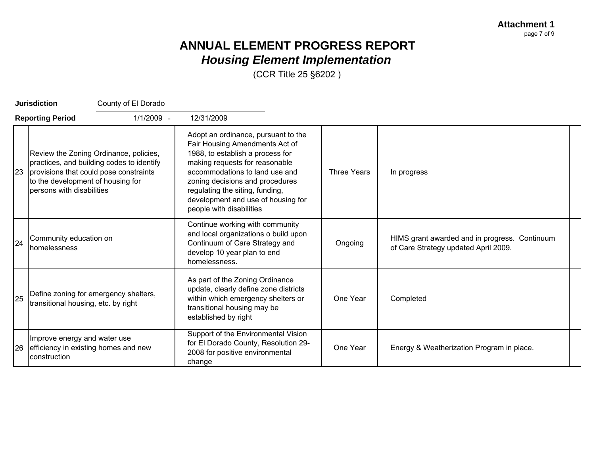| <b>Jurisdiction</b>     |                                                                | County of El Dorado                                                                                                              |                                                                                                                                                                                                                                                                                                                       |                    |                                                                                       |
|-------------------------|----------------------------------------------------------------|----------------------------------------------------------------------------------------------------------------------------------|-----------------------------------------------------------------------------------------------------------------------------------------------------------------------------------------------------------------------------------------------------------------------------------------------------------------------|--------------------|---------------------------------------------------------------------------------------|
| <b>Reporting Period</b> |                                                                | 1/1/2009 -                                                                                                                       | 12/31/2009                                                                                                                                                                                                                                                                                                            |                    |                                                                                       |
|                         | to the development of housing for<br>persons with disabilities | Review the Zoning Ordinance, policies,<br>practices, and building codes to identify<br>23 provisions that could pose constraints | Adopt an ordinance, pursuant to the<br>Fair Housing Amendments Act of<br>1988, to establish a process for<br>making requests for reasonable<br>accommodations to land use and<br>zoning decisions and procedures<br>regulating the siting, funding,<br>development and use of housing for<br>people with disabilities | <b>Three Years</b> | In progress                                                                           |
| 24                      | Community education on<br>homelessness                         |                                                                                                                                  | Continue working with community<br>and local organizations o build upon<br>Continuum of Care Strategy and<br>develop 10 year plan to end<br>homelessness.                                                                                                                                                             | Ongoing            | HIMS grant awarded and in progress. Continuum<br>of Care Strategy updated April 2009. |
| 25                      | transitional housing, etc. by right                            | Define zoning for emergency shelters,                                                                                            | As part of the Zoning Ordinance<br>update, clearly define zone districts<br>within which emergency shelters or<br>transitional housing may be<br>established by right                                                                                                                                                 | One Year           | Completed                                                                             |
|                         | Improve energy and water use<br>construction                   | 26 efficiency in existing homes and new                                                                                          | Support of the Environmental Vision<br>for El Dorado County, Resolution 29-<br>2008 for positive environmental<br>change                                                                                                                                                                                              | One Year           | Energy & Weatherization Program in place.                                             |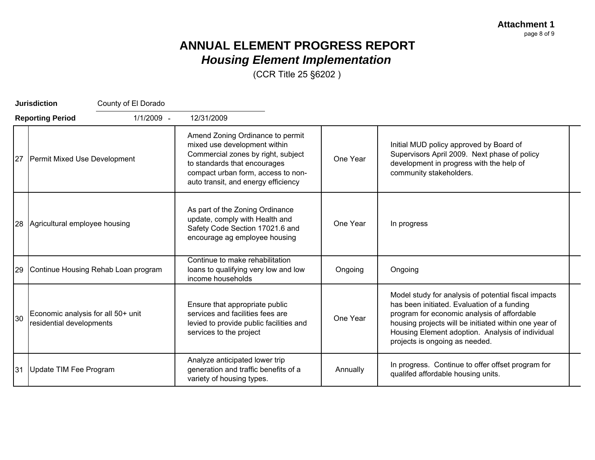**Attachment 1** page 8 of 9

## **ANNUAL ELEMENT PROGRESS REPORT** *Housing Element Implementation*

|    | <b>Jurisdiction</b><br>County of El Dorado                     |                                                                                                                                                                                                                     |          |                                                                                                                                                                                                                                                                                                   |
|----|----------------------------------------------------------------|---------------------------------------------------------------------------------------------------------------------------------------------------------------------------------------------------------------------|----------|---------------------------------------------------------------------------------------------------------------------------------------------------------------------------------------------------------------------------------------------------------------------------------------------------|
|    | 1/1/2009 -<br><b>Reporting Period</b>                          | 12/31/2009                                                                                                                                                                                                          |          |                                                                                                                                                                                                                                                                                                   |
| 27 | <b>Permit Mixed Use Development</b>                            | Amend Zoning Ordinance to permit<br>mixed use development within<br>Commercial zones by right, subject<br>to standards that encourages<br>compact urban form, access to non-<br>auto transit, and energy efficiency | One Year | Initial MUD policy approved by Board of<br>Supervisors April 2009. Next phase of policy<br>development in progress with the help of<br>community stakeholders.                                                                                                                                    |
| 28 | Agricultural employee housing                                  | As part of the Zoning Ordinance<br>update, comply with Health and<br>Safety Code Section 17021.6 and<br>encourage ag employee housing                                                                               | One Year | In progress                                                                                                                                                                                                                                                                                       |
| 29 | Continue Housing Rehab Loan program                            | Continue to make rehabilitation<br>loans to qualifying very low and low<br>income households                                                                                                                        | Ongoing  | Ongoing                                                                                                                                                                                                                                                                                           |
| 30 | Economic analysis for all 50+ unit<br>residential developments | Ensure that appropriate public<br>services and facilities fees are<br>levied to provide public facilities and<br>services to the project                                                                            | One Year | Model study for analysis of potential fiscal impacts<br>has been initiated. Evaluation of a funding<br>program for economic analysis of affordable<br>housing projects will be initiated within one year of<br>Housing Element adoption. Analysis of individual<br>projects is ongoing as needed. |
| 31 | Update TIM Fee Program                                         | Analyze anticipated lower trip<br>generation and traffic benefits of a<br>variety of housing types.                                                                                                                 | Annually | In progress. Continue to offer offset program for<br>qualifed affordable housing units.                                                                                                                                                                                                           |